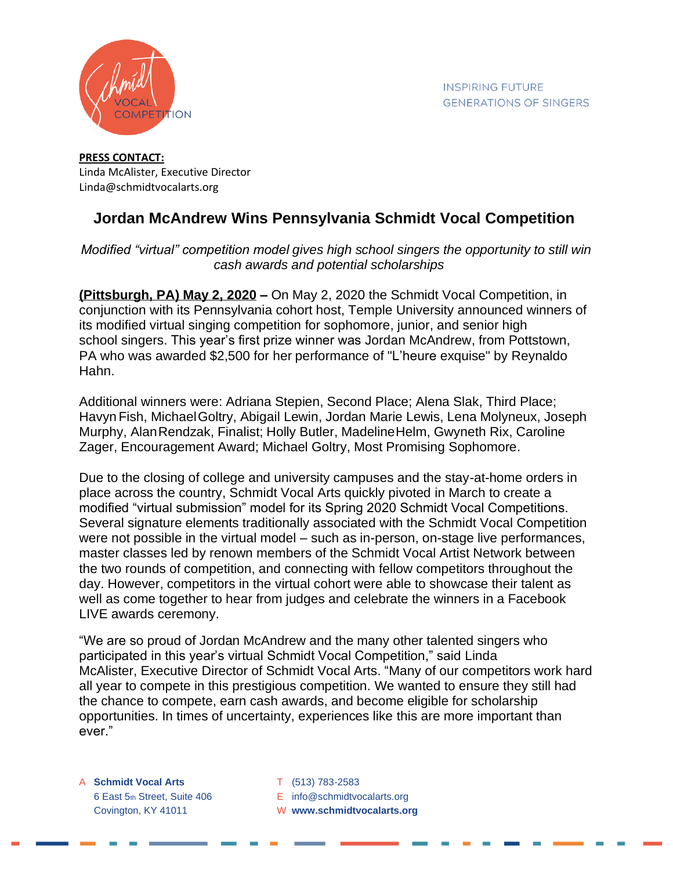

**PRESS CONTACT:** Linda McAlister, Executive Director Linda@schmidtvocalarts.org

## **Jordan McAndrew Wins Pennsylvania Schmidt Vocal Competition**

## *Modified "virtual" competition model gives high school singers the opportunity to still win cash awards and potential scholarships*

**(Pittsburgh, PA) May 2, 2020 –** On May 2, 2020 the Schmidt Vocal Competition, in conjunction with its Pennsylvania cohort host, Temple University announced winners of its modified virtual singing competition for sophomore, junior, and senior high school singers. This year's first prize winner was Jordan McAndrew, from Pottstown, PA who was awarded \$2,500 for her performance of "L'heure exquise" by Reynaldo Hahn.

Additional winners were: Adriana Stepien, Second Place; Alena Slak, Third Place; Havyn Fish, MichaelGoltry, Abigail Lewin, Jordan Marie Lewis, Lena Molyneux, Joseph Murphy, AlanRendzak, Finalist; Holly Butler, MadelineHelm, Gwyneth Rix, Caroline Zager, Encouragement Award; Michael Goltry, Most Promising Sophomore.

Due to the closing of college and university campuses and the stay-at-home orders in place across the country, Schmidt Vocal Arts quickly pivoted in March to create a modified "virtual submission" model for its Spring 2020 Schmidt Vocal Competitions. Several signature elements traditionally associated with the Schmidt Vocal Competition were not possible in the virtual model – such as in-person, on-stage live performances, master classes led by renown members of the Schmidt Vocal Artist Network between the two rounds of competition, and connecting with fellow competitors throughout the day. However, competitors in the virtual cohort were able to showcase their talent as well as come together to hear from judges and celebrate the winners in a Facebook LIVE awards ceremony.

"We are so proud of Jordan McAndrew and the many other talented singers who participated in this year's virtual Schmidt Vocal Competition," said Linda McAlister, Executive Director of Schmidt Vocal Arts. "Many of our competitors work hard all year to compete in this prestigious competition. We wanted to ensure they still had the chance to compete, earn cash awards, and become eligible for scholarship opportunities. In times of uncertainty, experiences like this are more important than ever."

A **Schmidt Vocal Arts** T (513) 783-2583

- 6 East 5th Street, Suite 406 E info@schmidtvocalarts.org
- Covington, KY 41011 W **www.schmidtvocalarts.org**